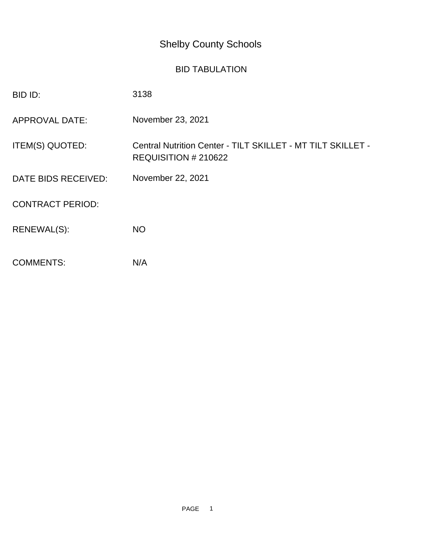## Shelby County Schools

## BID TABULATION

| BID ID:                 | 3138                                                                                |
|-------------------------|-------------------------------------------------------------------------------------|
| <b>APPROVAL DATE:</b>   | November 23, 2021                                                                   |
| ITEM(S) QUOTED:         | Central Nutrition Center - TILT SKILLET - MT TILT SKILLET -<br>REQUISITION # 210622 |
| DATE BIDS RECEIVED:     | November 22, 2021                                                                   |
| <b>CONTRACT PERIOD:</b> |                                                                                     |
| RENEWAL(S):             | <b>NO</b>                                                                           |
| <b>COMMENTS:</b>        | N/A                                                                                 |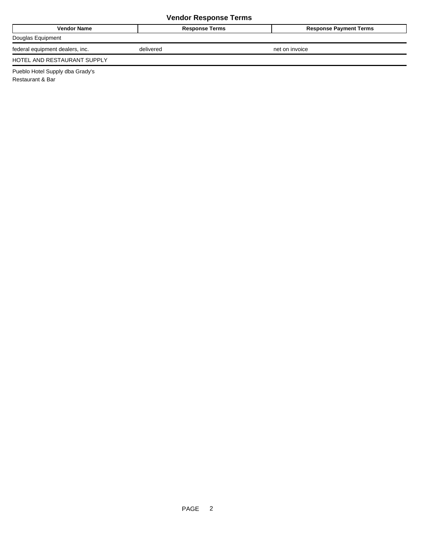## **Vendor Response Terms**

| <b>Vendor Name</b>              | <b>Response Terms</b> | <b>Response Payment Terms</b> |
|---------------------------------|-----------------------|-------------------------------|
| Douglas Equipment               |                       |                               |
| federal equipment dealers, inc. | delivered             | net on invoice                |
| HOTEL AND RESTAURANT SUPPLY     |                       |                               |

Pueblo Hotel Supply dba Grady's Restaurant & Bar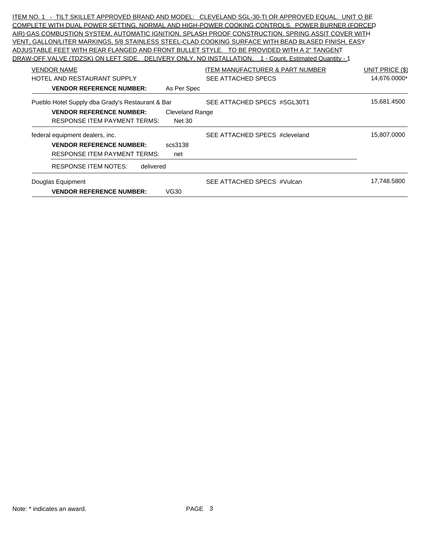ITEM NO. 1 - TILT SKILLET APPROVED BRAND AND MODEL: CLEVELAND SGL-30-TI OR APPROVED EQUAL. UNIT O BE COMPLETE WITH DUAL POWER SETTING, NORMAL AND HIGH-POWER COOKING CONTROLS. POWER BURNER (FORCED AIR) GAS COMBUSTION SYSTEM, AUTOMATIC IGNITION, SPLASH PROOF CONSTRUCTION, SPRING ASSIT COVER WITH VENT, GALLON/LITER MARKINGS, 5/8 STAINLESS STEEL-CLAD COOKING SURFACE WITH BEAD BLASED FINISH, EASY ADJUSTABLE FEET WITH REAR FLANGED AND FRONT BULLET STYLE. TO BE PROVIDED WITH A 2" TANGENT DRAW-OFF VALVE (TDZSK) ON LEFT SIDE. DELIVERY ONLY, NO INSTALLATION. 1 - Count, Estimated Quantity - 1 VENDOR NAME UNIT PRICE (\$) ITEM MANUFACTURER & PART NUMBER UNIT PRICE (\$) HOTEL AND RESTAURANT SUPPLY SEE ATTACHED SPECS 14,676.0000\* **VENDOR REFERENCE NUMBER:** As Per Spec Pueblo Hotel Supply dba Grady's Restaurant & Bar SEE ATTACHED SPECS #SGL30T1 15,681.4500 **VENDOR REFERENCE NUMBER:** Cleveland Range RESPONSE ITEM PAYMENT TERMS: Net 30 federal equipment dealers, inc. The SEE ATTACHED SPECS #cleveland 15,807.0000 **VENDOR REFERENCE NUMBER:** scs3138 RESPONSE ITEM PAYMENT TERMS: net RESPONSE ITEM NOTES: delivered Douglas Equipment 17,748.5800 SEE ATTACHED SPECS #Vulcan 17,748.5800 **VENDOR REFERENCE NUMBER:** VG30